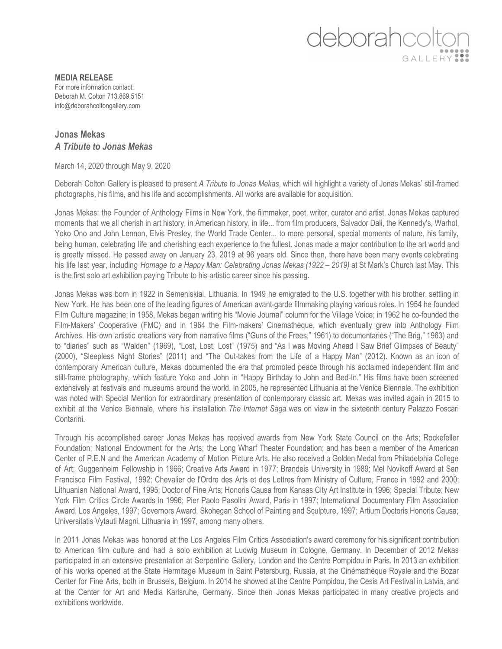## deborahcoltor GALLERY ...

**MEDIA RELEASE** For more information contact: Deborah M. Colton 713.869.5151 info@deborahcoltongallery.com

## **Jonas Mekas** *A Tribute to Jonas Mekas*

March 14, 2020 through May 9, 2020

Deborah Colton Gallery is pleased to present *A Tribute to Jonas Mekas*, which will highlight a variety of Jonas Mekas' still-framed photographs, his films, and his life and accomplishments. All works are available for acquisition.

Jonas Mekas: the Founder of Anthology Films in New York, the filmmaker, poet, writer, curator and artist. Jonas Mekas captured moments that we all cherish in art history, in American history, in life... from film producers, Salvador Dali, the Kennedy's, Warhol, Yoko Ono and John Lennon, Elvis Presley, the World Trade Center... to more personal, special moments of nature, his family, being human, celebrating life and cherishing each experience to the fullest. Jonas made a major contribution to the art world and is greatly missed. He passed away on January 23, 2019 at 96 years old. Since then, there have been many events celebrating his life last year, including *Homage to a Happy Man: Celebrating Jonas Mekas (1922 – 2019)* at St Mark's Church last May. This is the first solo art exhibition paying Tribute to his artistic career since his passing.

Jonas Mekas was born in 1922 in Semeniskiai, Lithuania. In 1949 he emigrated to the U.S. together with his brother, settling in New York. He has been one of the leading figures of American avant-garde filmmaking playing various roles. In 1954 he founded Film Culture magazine; in 1958, Mekas began writing his "Movie Journal" column for the Village Voice; in 1962 he co-founded the Film-Makers' Cooperative (FMC) and in 1964 the Film-makers' Cinematheque, which eventually grew into Anthology Film Archives. His own artistic creations vary from narrative films ("Guns of the Frees," 1961) to documentaries ("The Brig," 1963) and to "diaries" such as "Walden" (1969), "Lost, Lost, Lost" (1975) and "As I was Moving Ahead I Saw Brief Glimpses of Beauty" (2000), "Sleepless Night Stories" (2011) and "The Out-takes from the Life of a Happy Man" (2012). Known as an icon of contemporary American culture, Mekas documented the era that promoted peace through his acclaimed independent film and still-frame photography, which feature Yoko and John in "Happy Birthday to John and Bed-In." His films have been screened extensively at festivals and museums around the world. In 2005, he represented Lithuania at the Venice Biennale. The exhibition was noted with Special Mention for extraordinary presentation of contemporary classic art. Mekas was invited again in 2015 to exhibit at the Venice Biennale, where his installation *The Internet Saga* was on view in the sixteenth century Palazzo Foscari Contarini.

Through his accomplished career Jonas Mekas has received awards from New York State Council on the Arts; Rockefeller Foundation; National Endowment for the Arts; the Long Wharf Theater Foundation; and has been a member of the American Center of P.E.N and the American Academy of Motion Picture Arts. He also received a Golden Medal from Philadelphia College of Art; Guggenheim Fellowship in 1966; Creative Arts Award in 1977; Brandeis University in 1989; Mel Novikoff Award at San Francisco Film Festival, 1992; Chevalier de l'Ordre des Arts et des Lettres from Ministry of Culture, France in 1992 and 2000; Lithuanian National Award, 1995; Doctor of Fine Arts; Honoris Causa from Kansas City Art Institute in 1996; Special Tribute; New York Film Critics Circle Awards in 1996; Pier Paolo Pasolini Award, Paris in 1997; International Documentary Film Association Award, Los Angeles, 1997; Governors Award, Skohegan School of Painting and Sculpture, 1997; Artium Doctoris Honoris Causa; Universitatis Vytauti Magni, Lithuania in 1997, among many others.

In 2011 Jonas Mekas was honored at the Los Angeles Film Critics Association's award ceremony for his significant contribution to American film culture and had a solo exhibition at Ludwig Museum in Cologne, Germany. In December of 2012 Mekas participated in an extensive presentation at Serpentine Gallery, London and the Centre Pompidou in Paris. In 2013 an exhibition of his works opened at the State Hermitage Museum in Saint Petersburg, Russia, at the Cinémathèque Royale and the Bozar Center for Fine Arts, both in Brussels, Belgium. In 2014 he showed at the Centre Pompidou, the Cesis Art Festival in Latvia, and at the Center for Art and Media Karlsruhe, Germany. Since then Jonas Mekas participated in many creative projects and exhibitions worldwide.